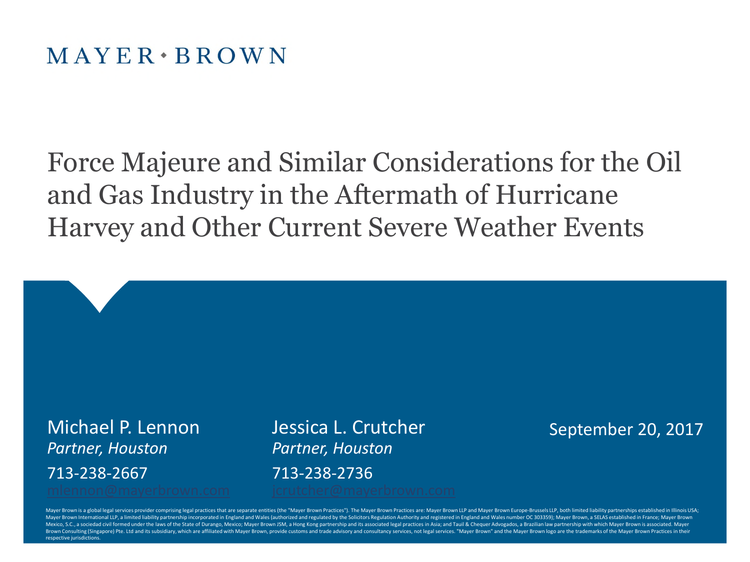Force Majeure and Similar Considerations for the Oil and Gas Industry in the Aftermath of Hurricane Harvey and Other Current Severe Weather Events

*Partner, Houston Partner, Houston* 713-238-2667 713-238-2736

Michael P. Lennon Jessica L. Crutcher

September 20, 2017

Mayer Brown is a global legal services provider comprising legal practices that are separate entities (the "Mayer Brown Practices"). The Mayer Brown Practices are: Mayer Brown LLP and Mayer Brown Europe-Brussels LLP, both Mayer Brown International LLP, a limited liability partnership incorporated in England and Wales (authorized and regulated by the Solicitors Regulation Authority and registered in England and Wales number OC 303359); Mayer Mexico, S.C., a sociedad civil formed under the laws of the State of Durango, Mexico; Mayer Brown JSM, a Hong Kong partnership and its associated legal practices in Asia; and Tauil & Chequer Advogados, a Brazilian law part Brown Consulting (Singapore) Pte. Ltd and its subsidiary, which are affiliated with Mayer Brown, provide customs and trade advisory and consultancy services, not legal services. "Mayer Brown" and the Mayer Brown logo are t respective jurisdictions.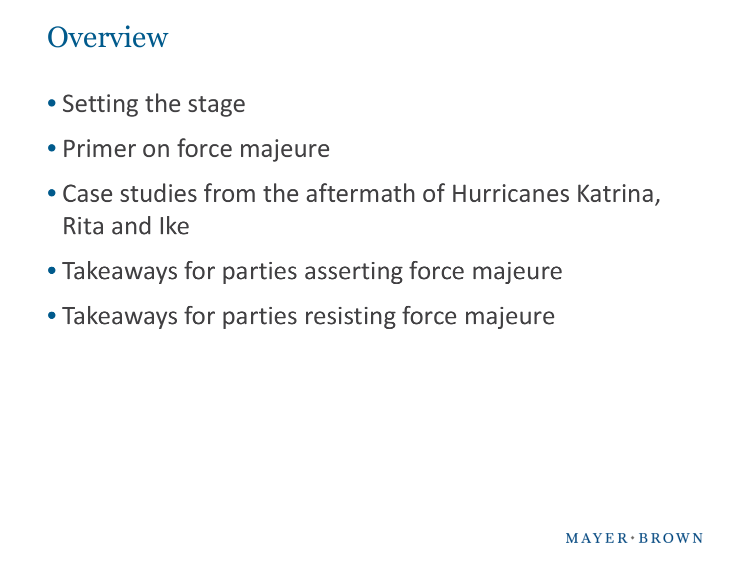#### **Overview**

- Setting the stage
- Primer on force majeure
- Case studies from the aftermath of Hurricanes Katrina, Rita and Ike
- Takeaways for parties asserting force majeure
- Takeaways for parties resisting force majeure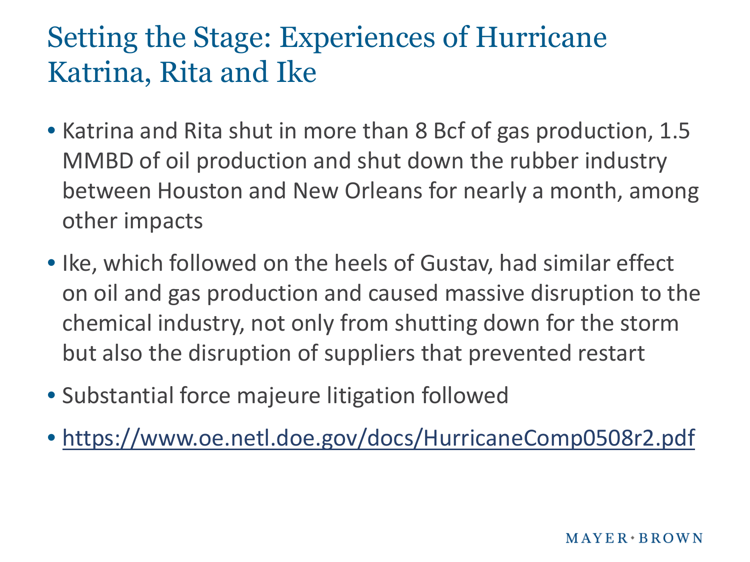# Setting the Stage: Experiences of Hurricane Katrina, Rita and Ike

- Katrina and Rita shut in more than 8 Bcf of gas production, 1.5 MMBD of oil production and shut down the rubber industry between Houston and New Orleans for nearly a month, among other impacts
- Ike, which followed on the heels of Gustav, had similar effect on oil and gas production and caused massive disruption to the chemical industry, not only from shutting down for the storm but also the disruption of suppliers that prevented restart
- Substantial force majeure litigation followed
- <https://www.oe.netl.doe.gov/docs/HurricaneComp0508r2.pdf>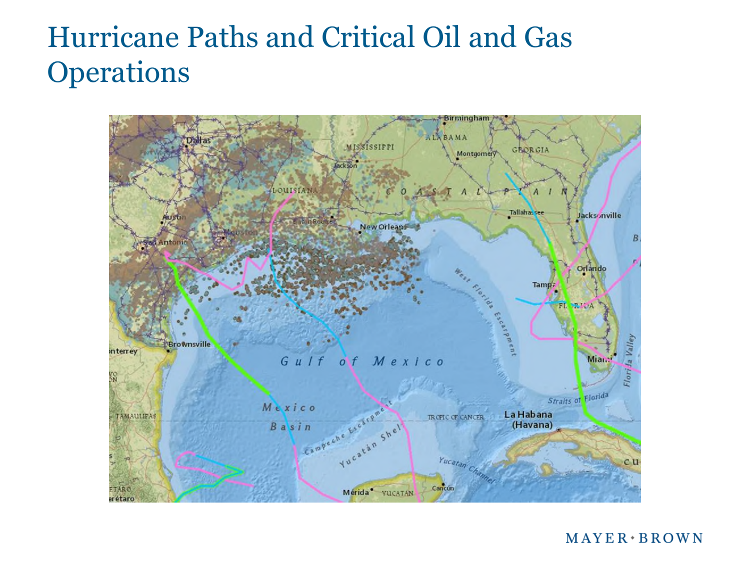## Hurricane Paths and Critical Oil and Gas **Operations**



 $MAYER*BROWN$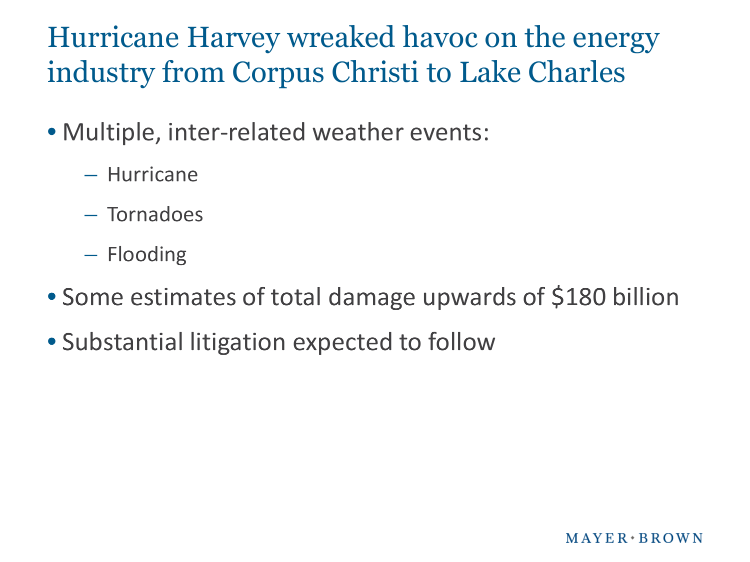# Hurricane Harvey wreaked havoc on the energy industry from Corpus Christi to Lake Charles

- Multiple, inter-related weather events:
	- Hurricane
	- Tornadoes
	- Flooding
- Some estimates of total damage upwards of \$180 billion
- Substantial litigation expected to follow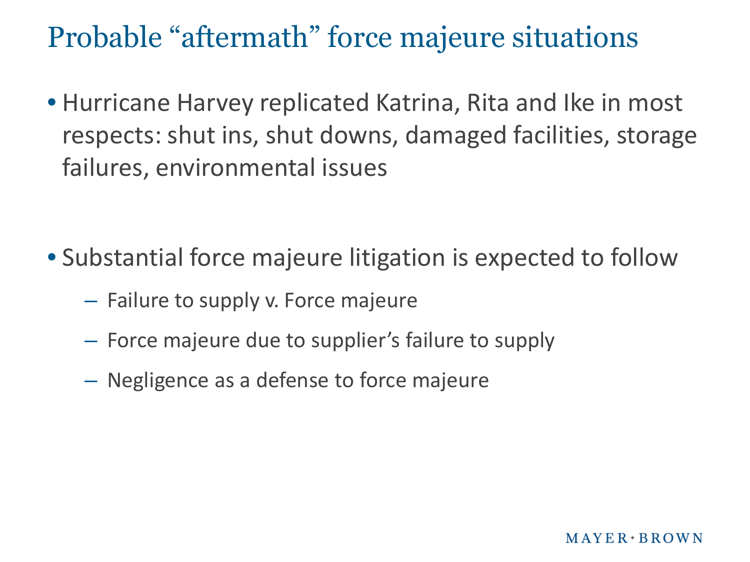#### Probable "aftermath" force majeure situations

• Hurricane Harvey replicated Katrina, Rita and Ike in most respects: shut ins, shut downs, damaged facilities, storage failures, environmental issues

- Substantial force majeure litigation is expected to follow
	- Failure to supply v. Force majeure
	- Force majeure due to supplier's failure to supply
	- Negligence as a defense to force majeure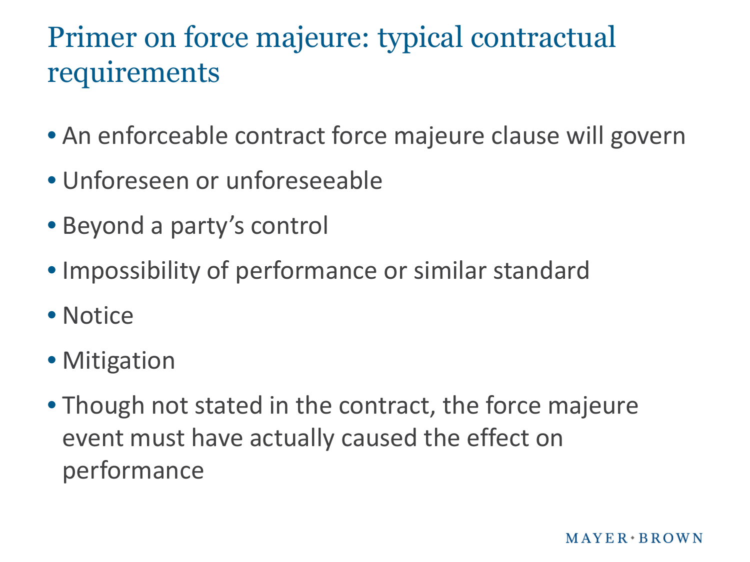# Primer on force majeure: typical contractual requirements

- An enforceable contract force majeure clause will govern
- Unforeseen or unforeseeable
- Beyond a party's control
- Impossibility of performance or similar standard
- Notice
- Mitigation
- Though not stated in the contract, the force majeure event must have actually caused the effect on performance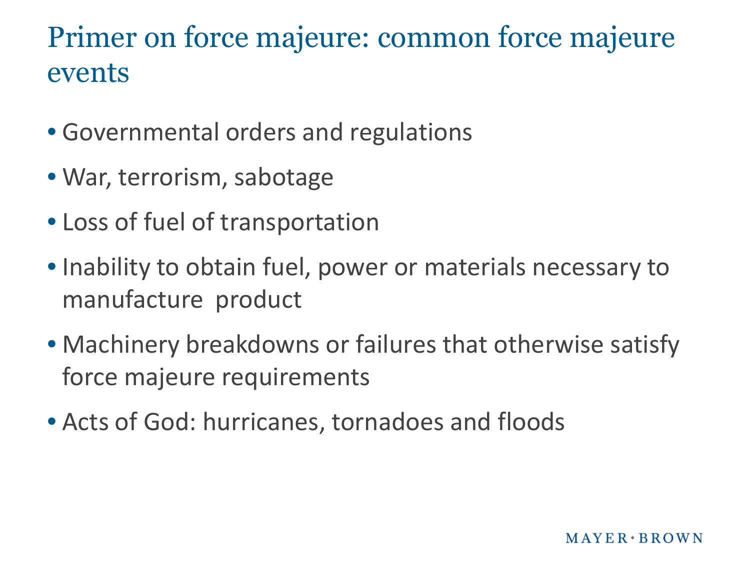## Primer on force majeure: common force majeure events

- Governmental orders and regulations
- War, terrorism, sabotage
- Loss of fuel of transportation
- Inability to obtain fuel, power or materials necessary to manufacture product
- Machinery breakdowns or failures that otherwise satisfy force majeure requirements
- Acts of God: hurricanes, tornadoes and floods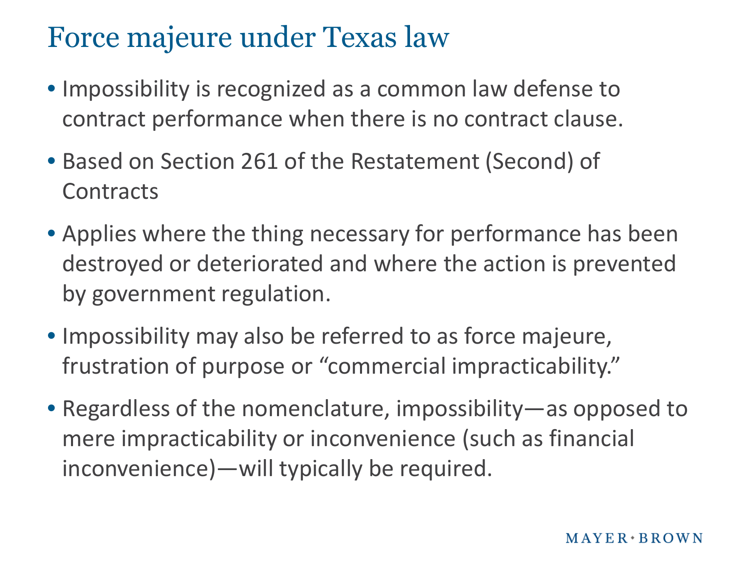#### Force majeure under Texas law

- Impossibility is recognized as a common law defense to contract performance when there is no contract clause.
- Based on Section 261 of the Restatement (Second) of **Contracts**
- Applies where the thing necessary for performance has been destroyed or deteriorated and where the action is prevented by government regulation.
- Impossibility may also be referred to as force majeure, frustration of purpose or "commercial impracticability."
- Regardless of the nomenclature, impossibility—as opposed to mere impracticability or inconvenience (such as financial inconvenience)—will typically be required.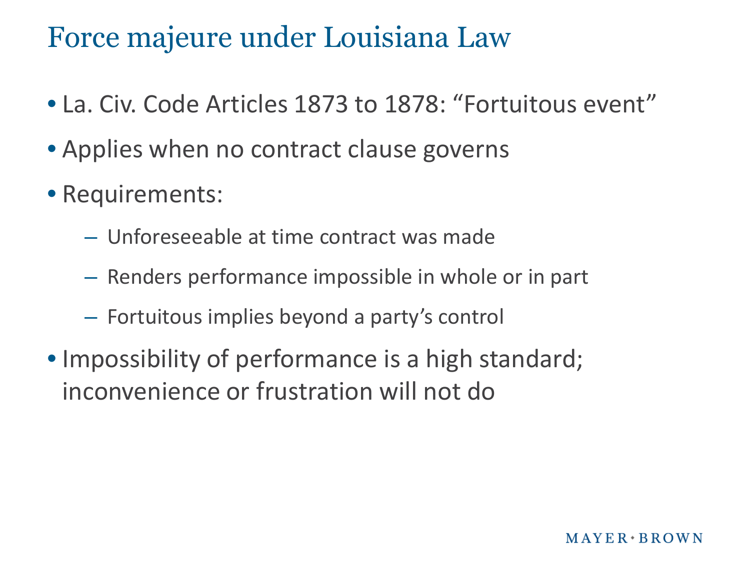#### Force majeure under Louisiana Law

- La. Civ. Code Articles 1873 to 1878: "Fortuitous event"
- Applies when no contract clause governs
- Requirements:
	- Unforeseeable at time contract was made
	- Renders performance impossible in whole or in part
	- Fortuitous implies beyond a party's control
- Impossibility of performance is a high standard; inconvenience or frustration will not do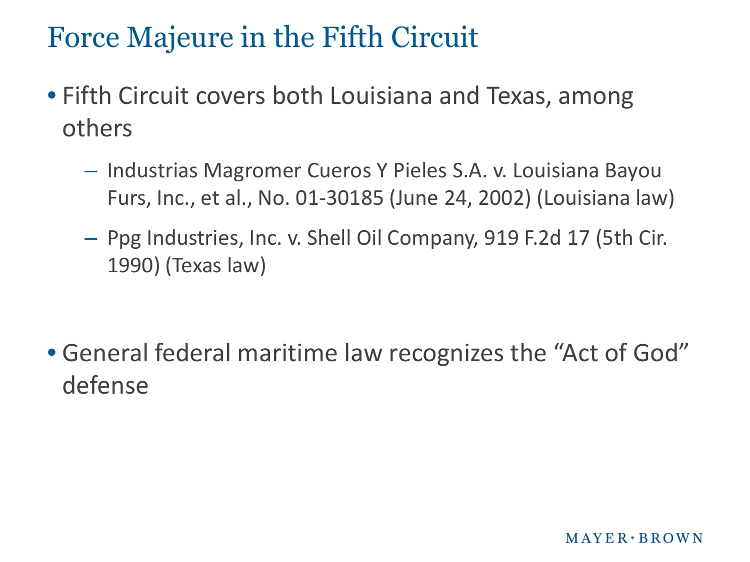## Force Majeure in the Fifth Circuit

- Fifth Circuit covers both Louisiana and Texas, among others
	- Industrias Magromer Cueros Y Pieles S.A. v. Louisiana Bayou Furs, Inc., et al., No. 01-30185 (June 24, 2002) (Louisiana law)
	- Ppg Industries, Inc. v. Shell Oil Company, 919 F.2d 17 (5th Cir. 1990) (Texas law)

• General federal maritime law recognizes the "Act of God" defense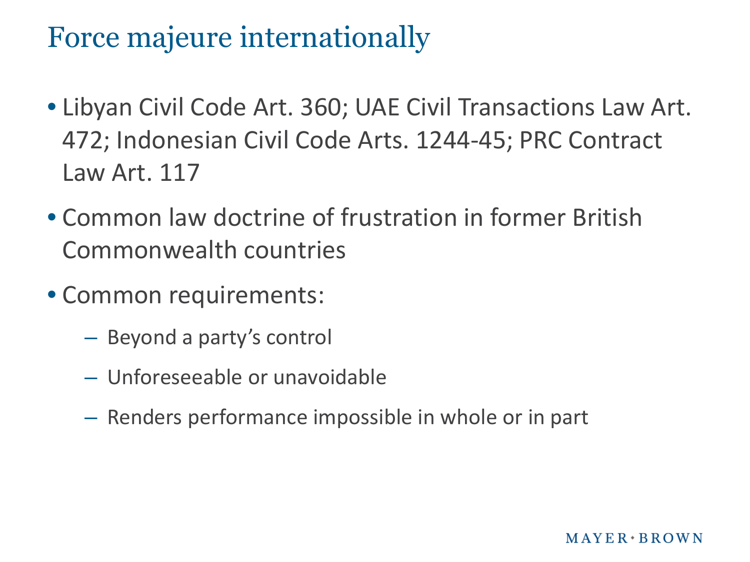#### Force majeure internationally

- Libyan Civil Code Art. 360; UAE Civil Transactions Law Art. 472; Indonesian Civil Code Arts. 1244-45; PRC Contract Law Art. 117
- Common law doctrine of frustration in former British Commonwealth countries
- Common requirements:
	- Beyond a party's control
	- Unforeseeable or unavoidable
	- Renders performance impossible in whole or in part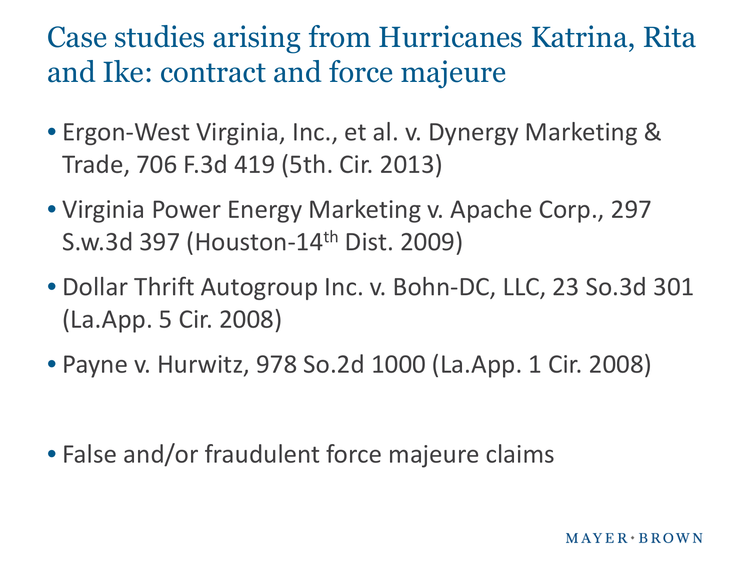Case studies arising from Hurricanes Katrina, Rita and Ike: contract and force majeure

- Ergon-West Virginia, Inc., et al. v. Dynergy Marketing & Trade, 706 F.3d 419 (5th. Cir. 2013)
- Virginia Power Energy Marketing v. Apache Corp., 297 S.w.3d 397 (Houston-14th Dist. 2009)
- Dollar Thrift Autogroup Inc. v. Bohn-DC, LLC, 23 So.3d 301 (La.App. 5 Cir. 2008)
- Payne v. Hurwitz, 978 So.2d 1000 (La.App. 1 Cir. 2008)

• False and/or fraudulent force majeure claims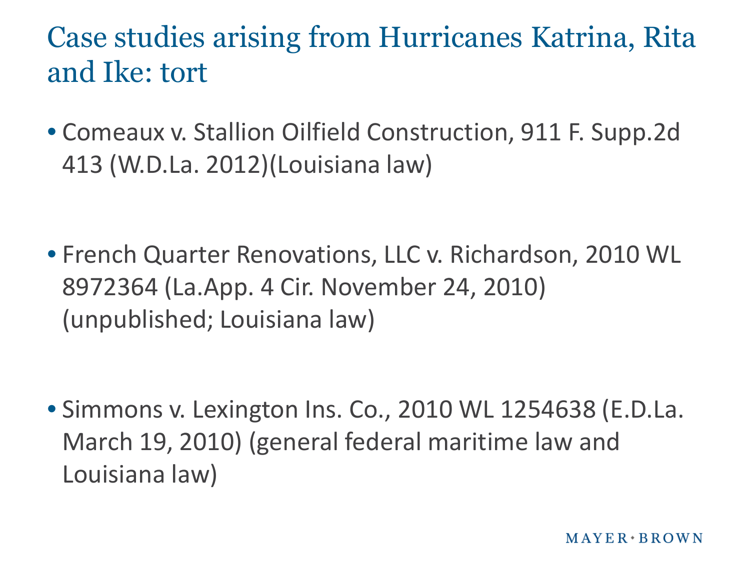Case studies arising from Hurricanes Katrina, Rita and Ike: tort

• Comeaux v. Stallion Oilfield Construction, 911 F. Supp.2d 413 (W.D.La. 2012)(Louisiana law)

• French Quarter Renovations, LLC v. Richardson, 2010 WL 8972364 (La.App. 4 Cir. November 24, 2010) (unpublished; Louisiana law)

• Simmons v. Lexington Ins. Co., 2010 WL 1254638 (E.D.La. March 19, 2010) (general federal maritime law and Louisiana law)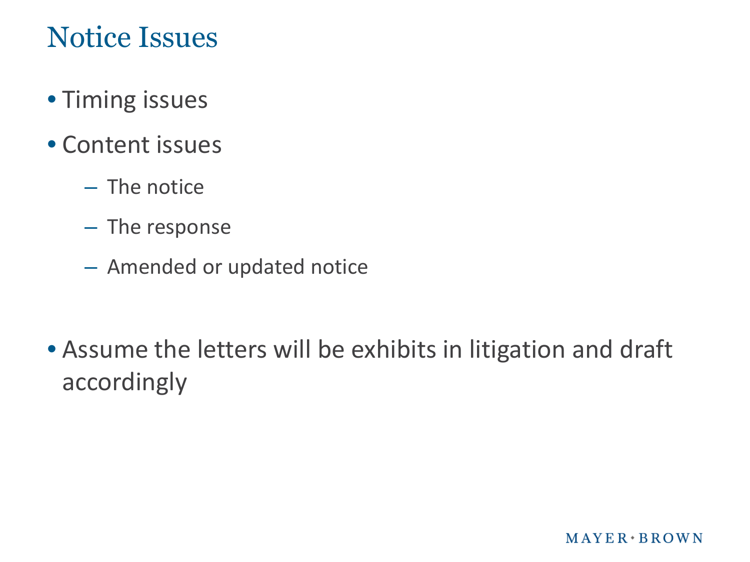### Notice Issues

- Timing issues
- Content issues
	- The notice
	- The response
	- Amended or updated notice

• Assume the letters will be exhibits in litigation and draft accordingly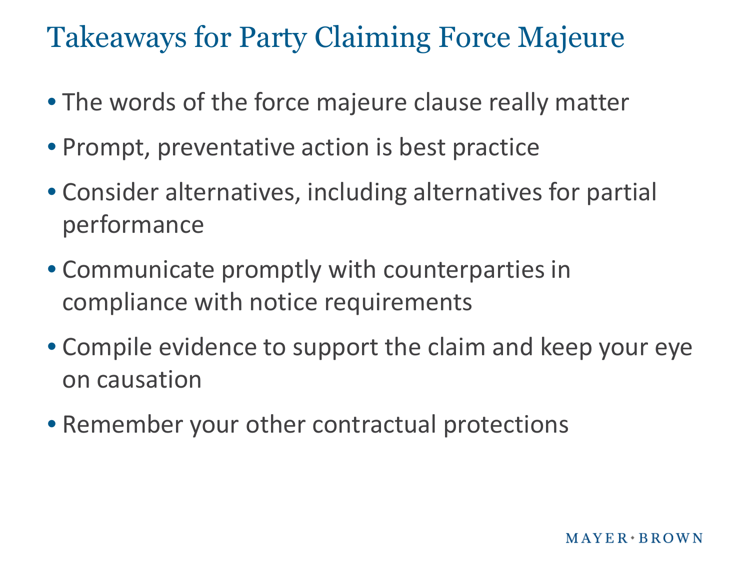Takeaways for Party Claiming Force Majeure

- The words of the force majeure clause really matter
- Prompt, preventative action is best practice
- Consider alternatives, including alternatives for partial performance
- Communicate promptly with counterparties in compliance with notice requirements
- Compile evidence to support the claim and keep your eye on causation
- Remember your other contractual protections